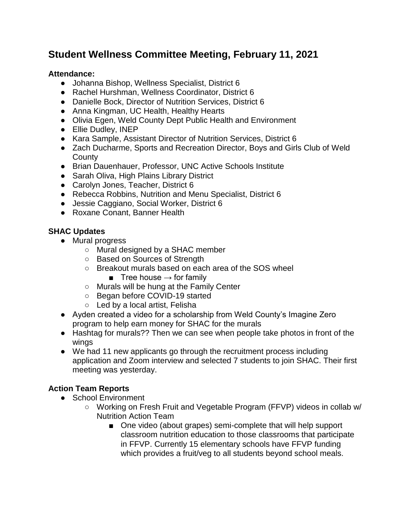# **Student Wellness Committee Meeting, February 11, 2021**

#### **Attendance:**

- Johanna Bishop, Wellness Specialist, District 6
- Rachel Hurshman, Wellness Coordinator, District 6
- Danielle Bock, Director of Nutrition Services, District 6
- Anna Kingman, UC Health, Healthy Hearts
- Olivia Egen, Weld County Dept Public Health and Environment
- Ellie Dudley, INEP
- Kara Sample, Assistant Director of Nutrition Services, District 6
- Zach Ducharme, Sports and Recreation Director, Boys and Girls Club of Weld **County**
- Brian Dauenhauer, Professor, UNC Active Schools Institute
- Sarah Oliva, High Plains Library District
- Carolyn Jones, Teacher, District 6
- Rebecca Robbins, Nutrition and Menu Specialist, District 6
- Jessie Caggiano, Social Worker, District 6
- Roxane Conant, Banner Health

## **SHAC Updates**

- Mural progress
	- Mural designed by a SHAC member
	- Based on Sources of Strength
	- Breakout murals based on each area of the SOS wheel
		- Tree house  $\rightarrow$  for family
	- Murals will be hung at the Family Center
	- Began before COVID-19 started
	- Led by a local artist, Felisha
- Ayden created a video for a scholarship from Weld County's Imagine Zero program to help earn money for SHAC for the murals
- Hashtag for murals?? Then we can see when people take photos in front of the wings
- We had 11 new applicants go through the recruitment process including application and Zoom interview and selected 7 students to join SHAC. Their first meeting was yesterday.

## **Action Team Reports**

- School Environment
	- Working on Fresh Fruit and Vegetable Program (FFVP) videos in collab w/ Nutrition Action Team
		- One video (about grapes) semi-complete that will help support classroom nutrition education to those classrooms that participate in FFVP. Currently 15 elementary schools have FFVP funding which provides a fruit/veg to all students beyond school meals.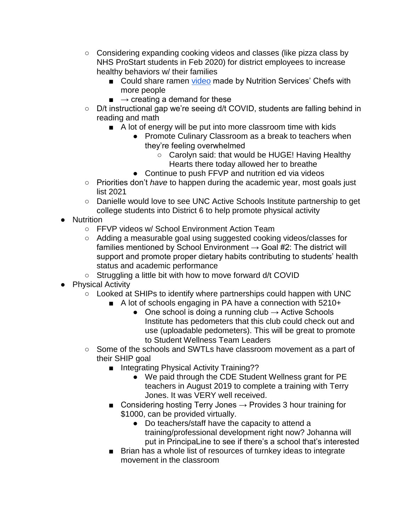- Considering expanding cooking videos and classes (like pizza class by NHS ProStart students in Feb 2020) for district employees to increase healthy behaviors w/ their families
	- Could share ramen [video](https://www.youtube.com/watch?v=L8vt0ala1E4&t=6s) made by Nutrition Services' Chefs with more people
	- $\blacksquare \rightarrow$  creating a demand for these
- D/t instructional gap we're seeing d/t COVID, students are falling behind in reading and math
	- A lot of energy will be put into more classroom time with kids
		- Promote Culinary Classroom as a break to teachers when they're feeling overwhelmed
			- Carolyn said: that would be HUGE! Having Healthy Hearts there today allowed her to breathe
		- Continue to push FFVP and nutrition ed via videos
- Priorities don't *have* to happen during the academic year, most goals just list 2021
- Danielle would love to see UNC Active Schools Institute partnership to get college students into District 6 to help promote physical activity
- **Nutrition** 
	- FFVP videos w/ School Environment Action Team
	- Adding a measurable goal using suggested cooking videos/classes for families mentioned by School Environment  $\rightarrow$  Goal #2: The district will support and promote proper dietary habits contributing to students' health status and academic performance
	- Struggling a little bit with how to move forward d/t COVID
- Physical Activity
	- Looked at SHIPs to identify where partnerships could happen with UNC
		- A lot of schools engaging in PA have a connection with 5210+
			- One school is doing a running club  $\rightarrow$  Active Schools Institute has pedometers that this club could check out and use (uploadable pedometers). This will be great to promote to Student Wellness Team Leaders
	- Some of the schools and SWTLs have classroom movement as a part of their SHIP goal
		- Integrating Physical Activity Training??
			- We paid through the CDE Student Wellness grant for PE teachers in August 2019 to complete a training with Terry Jones. It was VERY well received.
		- Considering hosting Terry Jones  $\rightarrow$  Provides 3 hour training for \$1000, can be provided virtually.
			- Do teachers/staff have the capacity to attend a training/professional development right now? Johanna will put in PrincipaLine to see if there's a school that's interested
		- Brian has a whole list of resources of turnkey ideas to integrate movement in the classroom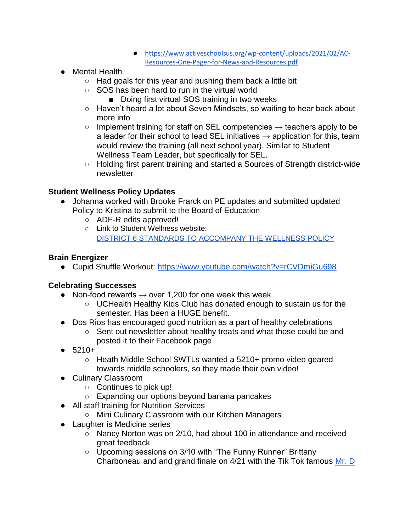- [https://www.activeschoolsus.org/wp-content/uploads/2021/02/AC-](https://www.activeschoolsus.org/wp-content/uploads/2021/02/AC-Resources-One-Pager-for-News-and-Resources.pdf)[Resources-One-Pager-for-News-and-Resources.pdf](https://www.activeschoolsus.org/wp-content/uploads/2021/02/AC-Resources-One-Pager-for-News-and-Resources.pdf)
- Mental Health
	- Had goals for this year and pushing them back a little bit
	- SOS has been hard to run in the virtual world
		- Doing first virtual SOS training in two weeks
	- Haven't heard a lot about Seven Mindsets, so waiting to hear back about more info
	- $\circ$  Implement training for staff on SEL competencies  $\rightarrow$  teachers apply to be a leader for their school to lead SEL initiatives  $\rightarrow$  application for this, team would review the training (all next school year). Similar to Student Wellness Team Leader, but specifically for SEL.
	- Holding first parent training and started a Sources of Strength district-wide newsletter

## **Student Wellness Policy Updates**

- Johanna worked with Brooke Frarck on PE updates and submitted updated Policy to Kristina to submit to the Board of Education
	- ADF-R edits approved!
	- Link to Student Wellness website: [DISTRICT 6 STANDARDS TO ACCOMPANY THE WELLNESS POLICY](https://www.greeleyschools.org/cms/lib/CO01001723/Centricity/Domain/3682/ADF_R_Final%20Approved%20January%202021.pdf)

### **Brain Energizer**

● Cupid Shuffle Workout:<https://www.youtube.com/watch?v=rCVDmiGu698>

## **Celebrating Successes**

- Non-food rewards  $\rightarrow$  over 1,200 for one week this week
	- UCHealth Healthy Kids Club has donated enough to sustain us for the semester. Has been a HUGE benefit.
- Dos Rios has encouraged good nutrition as a part of healthy celebrations
	- Sent out newsletter about healthy treats and what those could be and posted it to their Facebook page
- $5210+$ 
	- Heath Middle School SWTLs wanted a 5210+ promo video geared towards middle schoolers, so they made their own video!
- Culinary Classroom
	- Continues to pick up!
	- Expanding our options beyond banana pancakes
- All-staff training for Nutrition Services
	- Mini Culinary Classroom with our Kitchen Managers
- Laughter is Medicine series
	- Nancy Norton was on 2/10, had about 100 in attendance and received great feedback
	- Upcoming sessions on 3/10 with "The Funny Runner" Brittany Charboneau and and grand finale on 4/21 with the Tik Tok famous [Mr. D](https://www.mrdtimes3.com/)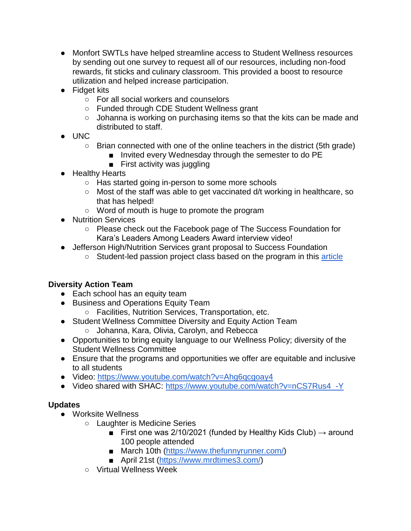- Monfort SWTLs have helped streamline access to Student Wellness resources by sending out one survey to request all of our resources, including non-food rewards, fit sticks and culinary classroom. This provided a boost to resource utilization and helped increase participation.
- Fidget kits
	- For all social workers and counselors
	- Funded through CDE Student Wellness grant
	- Johanna is working on purchasing items so that the kits can be made and distributed to staff.
- UNC
	- $\circ$  Brian connected with one of the online teachers in the district (5th grade)
		- Invited every Wednesday through the semester to do PE
		- First activity was juggling
- Healthy Hearts
	- Has started going in-person to some more schools
	- Most of the staff was able to get vaccinated d/t working in healthcare, so that has helped!
	- Word of mouth is huge to promote the program
- Nutrition Services
	- Please check out the Facebook page of The Success Foundation for Kara's Leaders Among Leaders Award interview video!
- Jefferson High/Nutrition Services grant proposal to Success Foundation
	- Student-led passion project class based on the program in this [article](https://co.chalkbeat.org/2020/11/20/21578687/empower-aurora-school-students-teach-themselves-new-skills-hustle-collective?fbclid=IwAR3G-MoxHsXbbm9ZYBY2VOqwzc8LGL8D5YOVZzoLWqyeD_y7KxjOPQisNoU)

## **Diversity Action Team**

- Each school has an equity team
- Business and Operations Equity Team
	- Facilities, Nutrition Services, Transportation, etc.
- Student Wellness Committee Diversity and Equity Action Team ○ Johanna, Kara, Olivia, Carolyn, and Rebecca
- Opportunities to bring equity language to our Wellness Policy; diversity of the Student Wellness Committee
- Ensure that the programs and opportunities we offer are equitable and inclusive to all students
- Video: https://www.youtube.com/watch?v=Ahg6qcqoay4
- Video shared with SHAC: [https://www.youtube.com/watch?v=nCS7Rus4\\_-Y](https://www.youtube.com/watch?v=nCS7Rus4_-Y)

## **Updates**

- Worksite Wellness
	- Laughter is Medicine Series
		- First one was 2/10/2021 (funded by Healthy Kids Club)  $\rightarrow$  around 100 people attended
		- March 10th [\(https://www.thefunnyrunner.com/\)](https://www.thefunnyrunner.com/)
		- April 21st [\(https://www.mrdtimes3.com/\)](https://www.mrdtimes3.com/)
	- Virtual Wellness Week